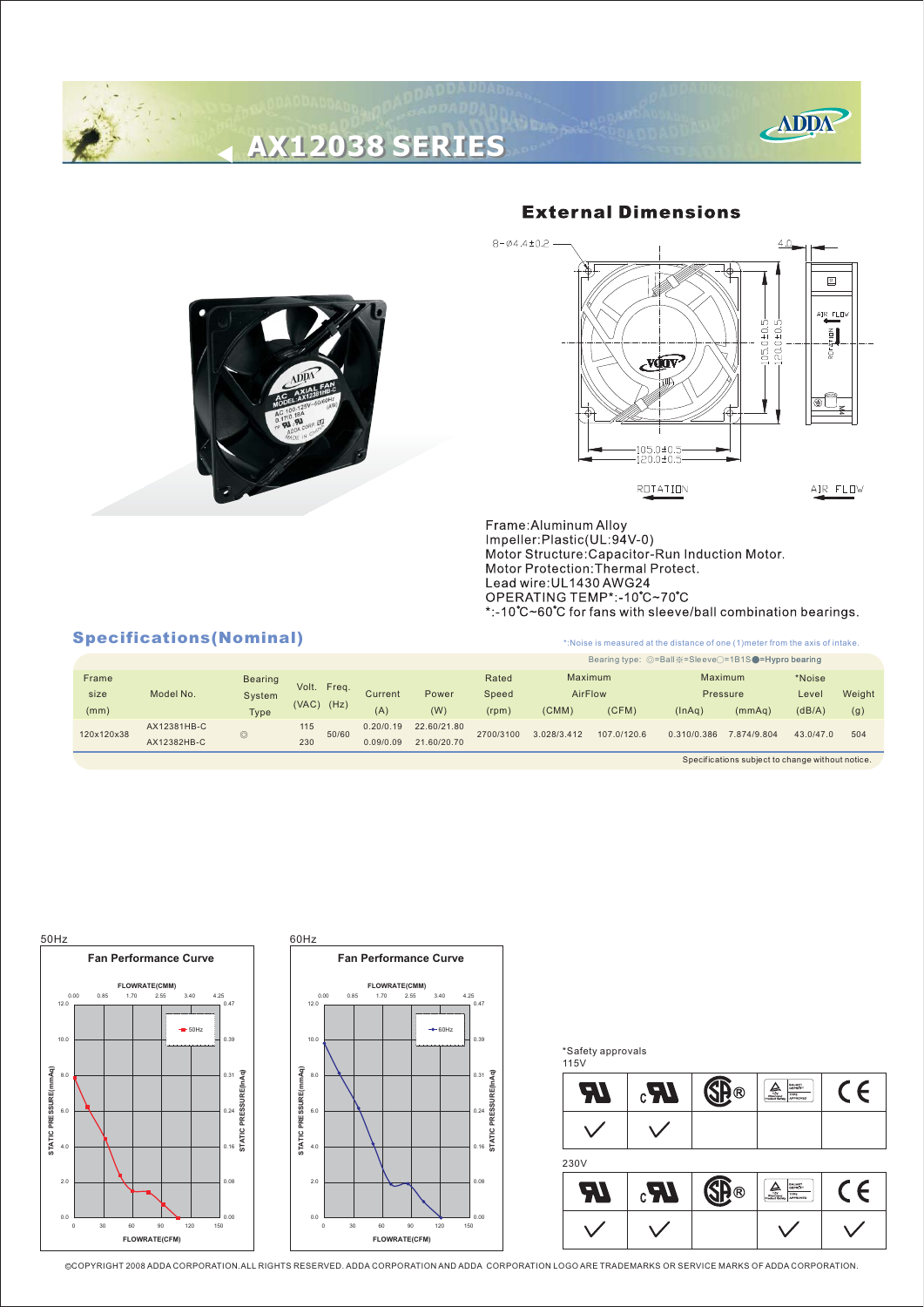# **AX12038 SERIES AX12038 SERIES**





## $8 - 04.4 \pm 0.2$  $\overline{\mathbf{E}}$ **IR FLI**  $120.0 + 0.5$  $105.0 \pm 0.5$  $rac{1}{2}$ Ę vđav ொ  $\frac{105.0 \pm 0.5}{120.0 \pm 0.5}$ ROTATION AIR FLOW

Frame:Aluminum Alloy<br>Impeller:Plastic(UL:94V-0) Motor Structure:Capacitor-Run Induction Motor.<br>Motor Protection:Thermal Protect. Lead wire: UL1430 AWG24 OPERATING TEMP\*:-10°C~70°C \*:-10°C~60°C for fans with sleeve/ball combination bearings.

## Specifications (Nominal) **Specifications** (Nominal)

|            |             |                |                |           |             |           | Bearing type: $\circledcirc$ =Ball $\&=S$ leeve $\circlearrowright=1B1S$ = Hypro bearing |             |             |             |           |        |  |
|------------|-------------|----------------|----------------|-----------|-------------|-----------|------------------------------------------------------------------------------------------|-------------|-------------|-------------|-----------|--------|--|
| Frame      | Model No.   | <b>Bearing</b> |                |           |             | Rated     | Maximum                                                                                  |             |             | Maximum     | *Noise    |        |  |
| size       |             | System         | Volt.<br>Freq. | Current   | Power       | Speed     | AirFlow                                                                                  |             | Pressure    |             | Level     | Weight |  |
| (mm)       |             | <b>Type</b>    | $(VAC)$ $(Hz)$ | (A)       | (W)         | (rpm)     | (CMM)                                                                                    | (CFM)       | (ln Aq)     | (mmAq)      | (dB/A)    | (g)    |  |
| 120x120x38 | AX12381HB-C | $\odot$        | 115<br>50/60   | 0.20/0.19 | 22.60/21.80 | 2700/3100 | 3.028/3.412                                                                              | 107.0/120.6 | 0.310/0.386 | 7.874/9.804 | 43.0/47.0 | 504    |  |
|            | AX12382HB-C | ⋓              | 230            | 0.09/0.09 | 21.60/20.70 |           |                                                                                          |             |             |             |           |        |  |

Specifications subject to change without notice.



#### \*Safety approvals



C COPYRIGHT 2008 ADDA CORPORATION.ALL RIGHTS RESERVED. ADDA CORPORATION AND ADDA CORPORATION LOGO ARE TRADEMARKS OR SERVICE MARKS OF ADDA CORPORATION.

### **External Dimensions**